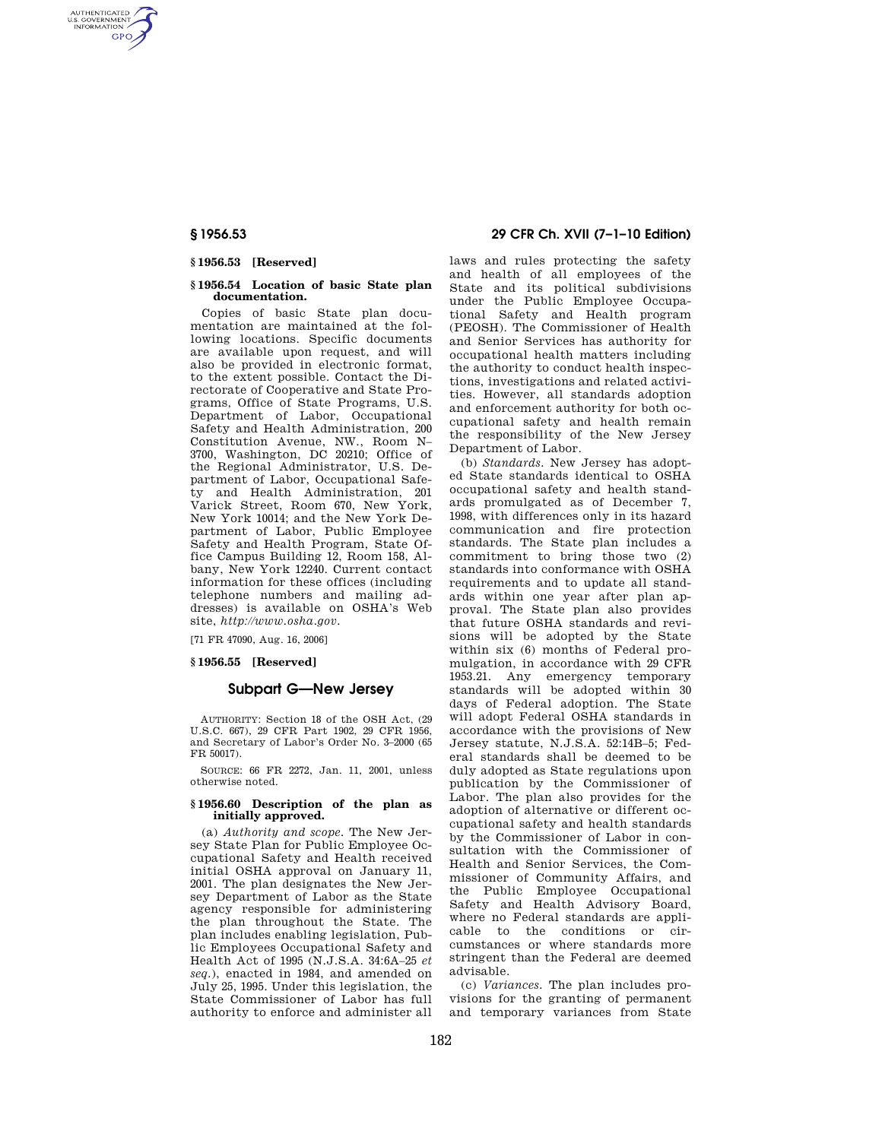AUTHENTICATED<br>U.S. GOVERNMENT<br>INFORMATION **GPO** 

## **§ 1956.53 [Reserved]**

#### **§ 1956.54 Location of basic State plan documentation.**

Copies of basic State plan documentation are maintained at the following locations. Specific documents are available upon request, and will also be provided in electronic format, to the extent possible. Contact the Directorate of Cooperative and State Programs, Office of State Programs, U.S. Department of Labor, Occupational Safety and Health Administration, 200 Constitution Avenue, NW., Room N– 3700, Washington, DC 20210; Office of the Regional Administrator, U.S. Department of Labor, Occupational Safety and Health Administration, 201 Varick Street, Room 670, New York, New York 10014; and the New York Department of Labor, Public Employee Safety and Health Program, State Office Campus Building 12, Room 158, Albany, New York 12240. Current contact information for these offices (including telephone numbers and mailing addresses) is available on OSHA's Web site, *http://www.osha.gov.* 

[71 FR 47090, Aug. 16, 2006]

## **§ 1956.55 [Reserved]**

# **Subpart G—New Jersey**

AUTHORITY: Section 18 of the OSH Act, (29 U.S.C. 667), 29 CFR Part 1902, 29 CFR 1956, and Secretary of Labor's Order No. 3–2000 (65 FR 50017).

SOURCE: 66 FR 2272, Jan. 11, 2001, unless otherwise noted.

#### **§ 1956.60 Description of the plan as initially approved.**

(a) *Authority and scope.* The New Jersey State Plan for Public Employee Occupational Safety and Health received initial OSHA approval on January 11, 2001. The plan designates the New Jersey Department of Labor as the State agency responsible for administering the plan throughout the State. The plan includes enabling legislation, Public Employees Occupational Safety and Health Act of 1995 (N.J.S.A. 34:6A–25 *et seq.*), enacted in 1984, and amended on July 25, 1995. Under this legislation, the State Commissioner of Labor has full authority to enforce and administer all

## **§ 1956.53 29 CFR Ch. XVII (7–1–10 Edition)**

laws and rules protecting the safety and health of all employees of the State and its political subdivisions under the Public Employee Occupational Safety and Health program (PEOSH). The Commissioner of Health and Senior Services has authority for occupational health matters including the authority to conduct health inspections, investigations and related activities. However, all standards adoption and enforcement authority for both occupational safety and health remain the responsibility of the New Jersey Department of Labor.

(b) *Standards.* New Jersey has adopted State standards identical to OSHA occupational safety and health standards promulgated as of December 7, 1998, with differences only in its hazard communication and fire protection standards. The State plan includes a commitment to bring those two (2) standards into conformance with OSHA requirements and to update all standards within one year after plan approval. The State plan also provides that future OSHA standards and revisions will be adopted by the State within six (6) months of Federal promulgation, in accordance with 29 CFR 1953.21. Any emergency temporary standards will be adopted within 30 days of Federal adoption. The State will adopt Federal OSHA standards in accordance with the provisions of New Jersey statute, N.J.S.A. 52:14B–5; Federal standards shall be deemed to be duly adopted as State regulations upon publication by the Commissioner of Labor. The plan also provides for the adoption of alternative or different occupational safety and health standards by the Commissioner of Labor in consultation with the Commissioner of Health and Senior Services, the Commissioner of Community Affairs, and the Public Employee Occupational Safety and Health Advisory Board, where no Federal standards are applicable to the conditions or circumstances or where standards more stringent than the Federal are deemed advisable.

(c) *Variances.* The plan includes provisions for the granting of permanent and temporary variances from State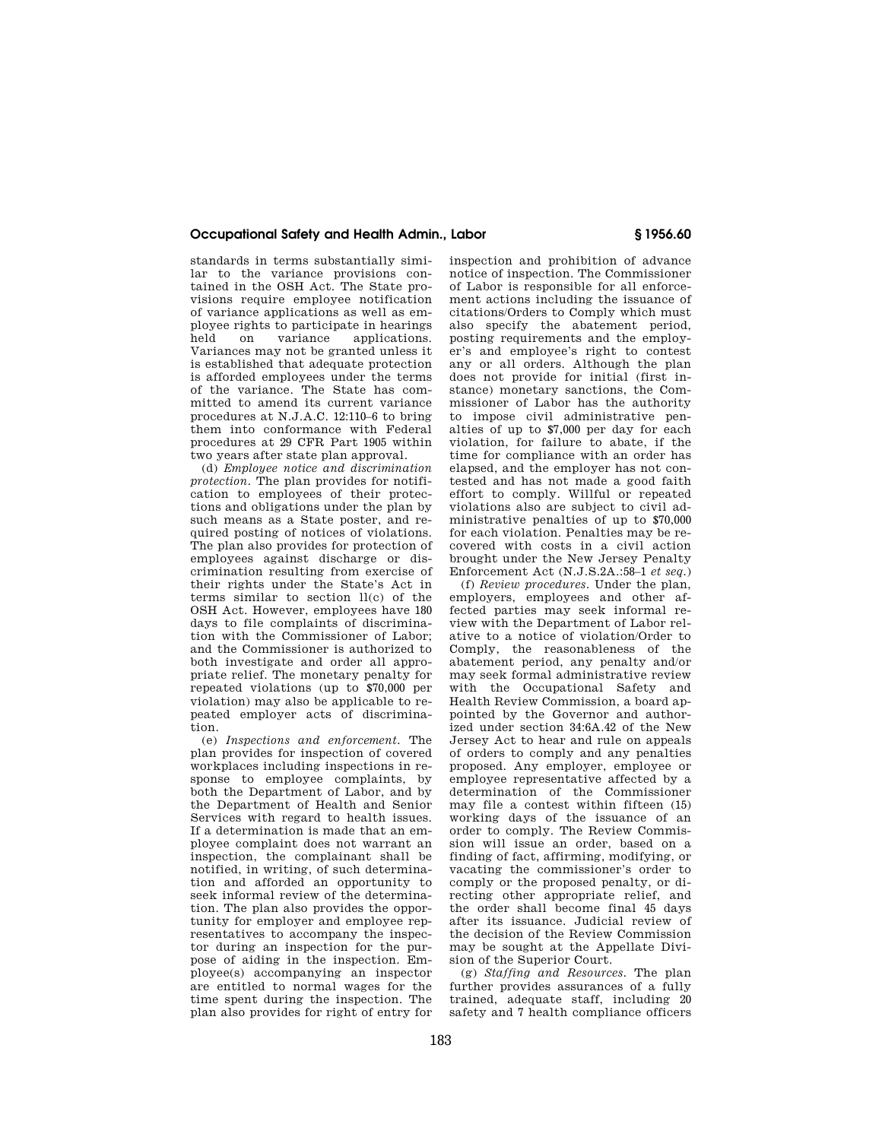## **Occupational Safety and Health Admin., Labor § 1956.60**

standards in terms substantially similar to the variance provisions contained in the OSH Act. The State provisions require employee notification of variance applications as well as employee rights to participate in hearings applications. Variances may not be granted unless it is established that adequate protection is afforded employees under the terms of the variance. The State has committed to amend its current variance procedures at N.J.A.C. 12:110–6 to bring them into conformance with Federal procedures at 29 CFR Part 1905 within two years after state plan approval.

(d) *Employee notice and discrimination protection.* The plan provides for notification to employees of their protections and obligations under the plan by such means as a State poster, and required posting of notices of violations. The plan also provides for protection of employees against discharge or discrimination resulting from exercise of their rights under the State's Act in terms similar to section ll(c) of the OSH Act. However, employees have 180 days to file complaints of discrimination with the Commissioner of Labor; and the Commissioner is authorized to both investigate and order all appropriate relief. The monetary penalty for repeated violations (up to \$70,000 per violation) may also be applicable to repeated employer acts of discrimination.

(e) *Inspections and enforcement.* The plan provides for inspection of covered workplaces including inspections in response to employee complaints, by both the Department of Labor, and by the Department of Health and Senior Services with regard to health issues. If a determination is made that an employee complaint does not warrant an inspection, the complainant shall be notified, in writing, of such determination and afforded an opportunity to seek informal review of the determination. The plan also provides the opportunity for employer and employee representatives to accompany the inspector during an inspection for the purpose of aiding in the inspection. Employee(s) accompanying an inspector are entitled to normal wages for the time spent during the inspection. The plan also provides for right of entry for

inspection and prohibition of advance notice of inspection. The Commissioner of Labor is responsible for all enforcement actions including the issuance of citations/Orders to Comply which must also specify the abatement period, posting requirements and the employer's and employee's right to contest any or all orders. Although the plan does not provide for initial (first instance) monetary sanctions, the Commissioner of Labor has the authority to impose civil administrative penalties of up to \$7,000 per day for each violation, for failure to abate, if the time for compliance with an order has elapsed, and the employer has not contested and has not made a good faith effort to comply. Willful or repeated violations also are subject to civil administrative penalties of up to \$70,000 for each violation. Penalties may be recovered with costs in a civil action brought under the New Jersey Penalty Enforcement Act (N.J.S.2A.:58–1 *et seq.*)

(f) *Review procedures.* Under the plan, employers, employees and other affected parties may seek informal review with the Department of Labor relative to a notice of violation/Order to Comply, the reasonableness of the abatement period, any penalty and/or may seek formal administrative review with the Occupational Safety and Health Review Commission, a board appointed by the Governor and authorized under section 34:6A.42 of the New Jersey Act to hear and rule on appeals of orders to comply and any penalties proposed. Any employer, employee or employee representative affected by a determination of the Commissioner may file a contest within fifteen (15) working days of the issuance of an order to comply. The Review Commission will issue an order, based on a finding of fact, affirming, modifying, or vacating the commissioner's order to comply or the proposed penalty, or directing other appropriate relief, and the order shall become final 45 days after its issuance. Judicial review of the decision of the Review Commission may be sought at the Appellate Division of the Superior Court.

(g) *Staffing and Resources.* The plan further provides assurances of a fully trained, adequate staff, including 20 safety and 7 health compliance officers